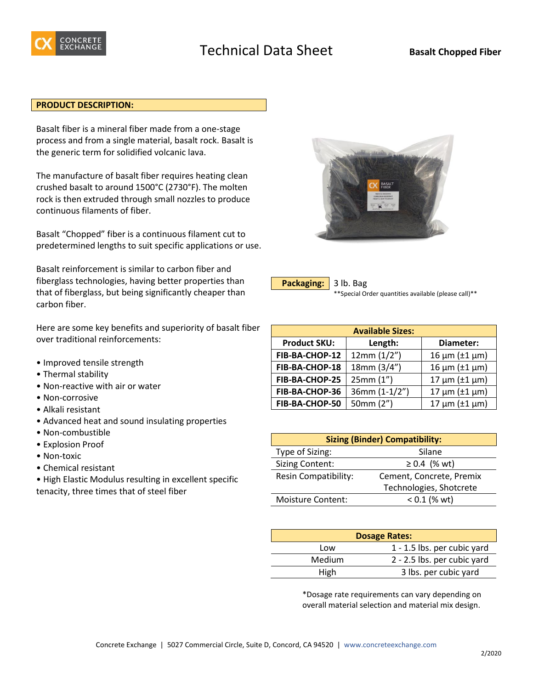

## **PRODUCT DESCRIPTION:**

Basalt fiber is a mineral fiber made from a one-stage process and from a single material, basalt rock. Basalt is the generic term for solidified volcanic lava.

The manufacture of basalt fiber requires heating clean crushed basalt to around 1500°C (2730°F). The molten rock is then extruded through small nozzles to produce continuous filaments of fiber.

Basalt "Chopped" fiber is a continuous filament cut to predetermined lengths to suit specific applications or use.

Basalt reinforcement is similar to carbon fiber and fiberglass technologies, having better properties than that of fiberglass, but being significantly cheaper than carbon fiber.

Here are some key benefits and superiority of basalt fiber over traditional reinforcements:

- Improved tensile strength
- Thermal stability
- Non-reactive with air or water
- Non-corrosive
- Alkali resistant
- Advanced heat and sound insulating properties
- Non-combustible
- Explosion Proof
- Non-toxic
- Chemical resistant

• High Elastic Modulus resulting in excellent specific tenacity, three times that of steel fiber



| Packaging: 3 lb. Bag |                   |
|----------------------|-------------------|
|                      | $**Conocial \cap$ |

Special Order quantities available (please call)\*\*

| <b>Available Sizes:</b> |               |                          |
|-------------------------|---------------|--------------------------|
| <b>Product SKU:</b>     | Length:       | Diameter:                |
| FIB-BA-CHOP-12          | 12mm(1/2")    | $16 \mu m (\pm 1 \mu m)$ |
| FIB-BA-CHOP-18          | 18mm (3/4")   | $16 \mu m (\pm 1 \mu m)$ |
| FIB-BA-CHOP-25          | 25mm (1")     | $17 \mu m (\pm 1 \mu m)$ |
| FIB-BA-CHOP-36          | 36mm (1-1/2") | $17 \mu m (\pm 1 \mu m)$ |
| FIB-BA-CHOP-50          | 50mm (2")     | $17 \mu m (\pm 1 \mu m)$ |

| <b>Sizing (Binder) Compatibility:</b> |                          |  |
|---------------------------------------|--------------------------|--|
| Type of Sizing:<br>Silane             |                          |  |
| <b>Sizing Content:</b>                | $≥ 0.4$ (% wt)           |  |
| Resin Compatibility:                  | Cement, Concrete, Premix |  |
| Technologies, Shotcrete               |                          |  |
| <b>Moisture Content:</b>              | $< 0.1$ (% wt)           |  |

| <b>Dosage Rates:</b> |                             |
|----------------------|-----------------------------|
| Low                  | 1 - 1.5 lbs. per cubic yard |
| Medium               | 2 - 2.5 lbs. per cubic yard |
| High                 | 3 lbs. per cubic yard       |

\*Dosage rate requirements can vary depending on overall material selection and material mix design.